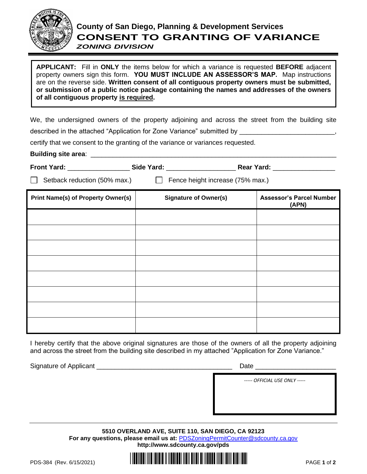

## **County of San Diego, Planning & Development Services CONSENT TO GRANTING OF VARIANCE**

*ZONING DIVISION*

**APPLICANT:** Fill in **ONLY** the items below for which a variance is requested **BEFORE** adjacent property owners sign this form. **YOU MUST INCLUDE AN ASSESSOR'S MAP.** Map instructions are on the reverse side. **Written consent of all contiguous property owners must be submitted, or submission of a public notice package containing the names and addresses of the owners of all contiguous property is required.**

We, the undersigned owners of the property adjoining and across the street from the building site described in the attached "Application for Zone Variance" submitted by \_\_\_\_\_\_\_\_\_\_\_\_\_\_\_\_

certify that we consent to the granting of the variance or variances requested.

**Building site area: Example 20** and 20 and 20 and 20 and 20 and 20 and 20 and 20 and 20 and 20 and 20 and 20 and 20 and 20 and 20 and 20 and 20 and 20 and 20 and 20 and 20 and 20 and 20 and 20 and 20 and 20 and 20 and 2

| <b>Front Yard:</b> | Side Yard: | <b>Rear Yard:</b> |
|--------------------|------------|-------------------|

Setback reduction (50% max.)  $\Box$  Fence height increase (75% max.)

| <b>Print Name(s) of Property Owner(s)</b> | <b>Signature of Owner(s)</b> | <b>Assessor's Parcel Number</b><br>(APN) |
|-------------------------------------------|------------------------------|------------------------------------------|
|                                           |                              |                                          |
|                                           |                              |                                          |
|                                           |                              |                                          |
|                                           |                              |                                          |
|                                           |                              |                                          |
|                                           |                              |                                          |
|                                           |                              |                                          |
|                                           |                              |                                          |

I hereby certify that the above original signatures are those of the owners of all the property adjoining and across the street from the building site described in my attached "Application for Zone Variance."

Signature of Applicant \_\_\_\_\_\_\_\_\_\_\_\_\_\_\_\_\_\_\_\_\_\_\_\_\_\_\_\_\_\_\_\_\_\_\_\_\_ Date \_\_\_\_\_\_\_\_\_\_\_\_\_\_\_\_\_\_\_\_\_\_

*----- OFFICIAL USE ONLY -----*

**5510 OVERLAND AVE, SUITE 110, SAN DIEGO, CA 92123 For any questions, please email us at:** [PDSZoningPermitCounter@sdcounty.ca.gov](mailto:PDSZoningPermitCounter@sdcounty.ca.gov) **<http://www.sdcounty.ca.gov/pds>**